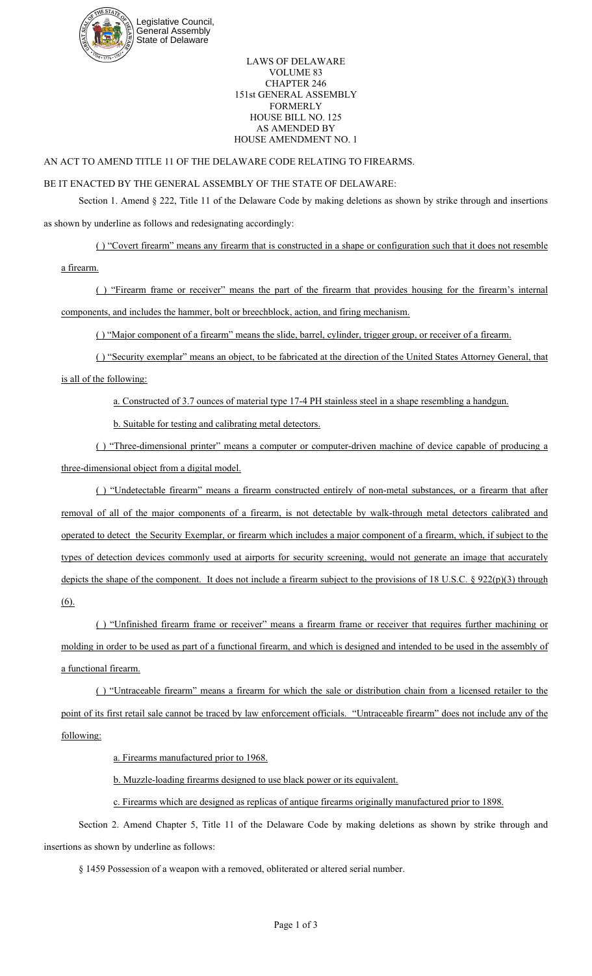

LAWS OF DELAWARE VOLUME 83 CHAPTER 246 151st GENERAL ASSEMBLY FORMERLY HOUSE BILL NO. 125 AS AMENDED BY HOUSE AMENDMENT NO. 1

## AN ACT TO AMEND TITLE 11 OF THE DELAWARE CODE RELATING TO FIREARMS.

## BE IT ENACTED BY THE GENERAL ASSEMBLY OF THE STATE OF DELAWARE:

Section 1. Amend § 222, Title 11 of the Delaware Code by making deletions as shown by strike through and insertions as shown by underline as follows and redesignating accordingly:

( ) "Covert firearm" means any firearm that is constructed in a shape or configuration such that it does not resemble

a firearm.

( ) "Firearm frame or receiver" means the part of the firearm that provides housing for the firearm's internal components, and includes the hammer, bolt or breechblock, action, and firing mechanism.

( ) "Major component of a firearm" means the slide, barrel, cylinder, trigger group, or receiver of a firearm.

( ) "Security exemplar" means an object, to be fabricated at the direction of the United States Attorney General, that is all of the following:

a. Constructed of 3.7 ounces of material type 17-4 PH stainless steel in a shape resembling a handgun.

b. Suitable for testing and calibrating metal detectors.

( ) "Three-dimensional printer" means a computer or computer-driven machine of device capable of producing a three-dimensional object from a digital model.

( ) "Undetectable firearm" means a firearm constructed entirely of non-metal substances, or a firearm that after removal of all of the major components of a firearm, is not detectable by walk-through metal detectors calibrated and operated to detect the Security Exemplar, or firearm which includes a major component of a firearm, which, if subject to the types of detection devices commonly used at airports for security screening, would not generate an image that accurately depicts the shape of the component. It does not include a firearm subject to the provisions of 18 U.S.C. § 922(p)(3) through (6).

( ) "Unfinished firearm frame or receiver" means a firearm frame or receiver that requires further machining or molding in order to be used as part of a functional firearm, and which is designed and intended to be used in the assembly of a functional firearm.

( ) "Untraceable firearm" means a firearm for which the sale or distribution chain from a licensed retailer to the point of its first retail sale cannot be traced by law enforcement officials. "Untraceable firearm" does not include any of the following:

a. Firearms manufactured prior to 1968.

b. Muzzle-loading firearms designed to use black power or its equivalent.

c. Firearms which are designed as replicas of antique firearms originally manufactured prior to 1898.

Section 2. Amend Chapter 5, Title 11 of the Delaware Code by making deletions as shown by strike through and insertions as shown by underline as follows:

§ 1459 Possession of a weapon with a removed, obliterated or altered serial number.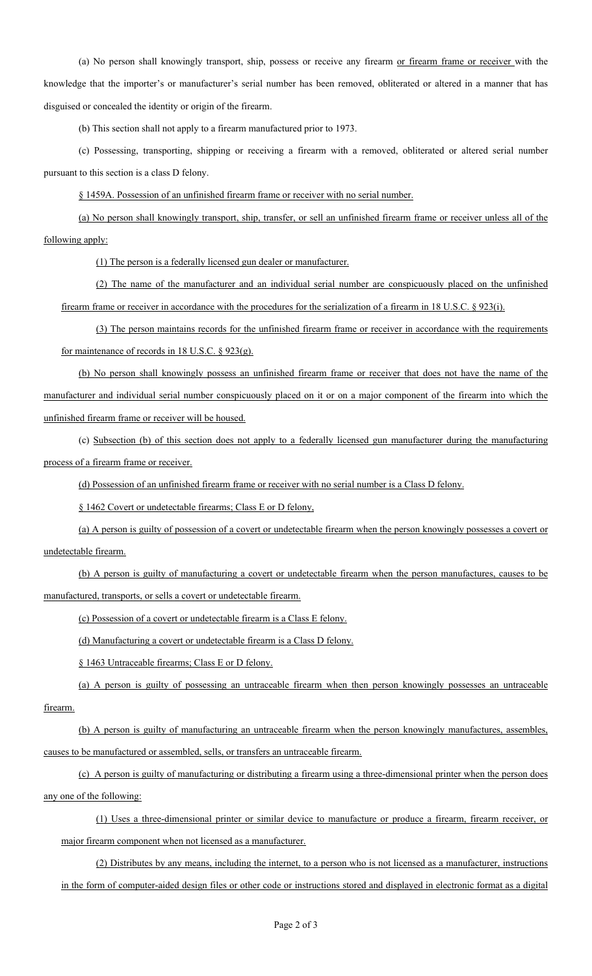(a) No person shall knowingly transport, ship, possess or receive any firearm or firearm frame or receiver with the knowledge that the importer's or manufacturer's serial number has been removed, obliterated or altered in a manner that has disguised or concealed the identity or origin of the firearm.

(b) This section shall not apply to a firearm manufactured prior to 1973.

(c) Possessing, transporting, shipping or receiving a firearm with a removed, obliterated or altered serial number pursuant to this section is a class D felony.

§ 1459A. Possession of an unfinished firearm frame or receiver with no serial number.

(a) No person shall knowingly transport, ship, transfer, or sell an unfinished firearm frame or receiver unless all of the following apply:

(1) The person is a federally licensed gun dealer or manufacturer.

(2) The name of the manufacturer and an individual serial number are conspicuously placed on the unfinished firearm frame or receiver in accordance with the procedures for the serialization of a firearm in 18 U.S.C. § 923(i).

(3) The person maintains records for the unfinished firearm frame or receiver in accordance with the requirements for maintenance of records in 18 U.S.C. § 923(g).

(b) No person shall knowingly possess an unfinished firearm frame or receiver that does not have the name of the manufacturer and individual serial number conspicuously placed on it or on a major component of the firearm into which the unfinished firearm frame or receiver will be housed.

(c) Subsection (b) of this section does not apply to a federally licensed gun manufacturer during the manufacturing process of a firearm frame or receiver.

(d) Possession of an unfinished firearm frame or receiver with no serial number is a Class D felony.

§ 1462 Covert or undetectable firearms; Class E or D felony,

(a) A person is guilty of possession of a covert or undetectable firearm when the person knowingly possesses a covert or undetectable firearm.

(b) A person is guilty of manufacturing a covert or undetectable firearm when the person manufactures, causes to be manufactured, transports, or sells a covert or undetectable firearm.

(c) Possession of a covert or undetectable firearm is a Class E felony.

(d) Manufacturing a covert or undetectable firearm is a Class D felony.

§ 1463 Untraceable firearms; Class E or D felony.

(a) A person is guilty of possessing an untraceable firearm when then person knowingly possesses an untraceable firearm.

(b) A person is guilty of manufacturing an untraceable firearm when the person knowingly manufactures, assembles, causes to be manufactured or assembled, sells, or transfers an untraceable firearm.

(c) A person is guilty of manufacturing or distributing a firearm using a three-dimensional printer when the person does any one of the following:

(1) Uses a three-dimensional printer or similar device to manufacture or produce a firearm, firearm receiver, or major firearm component when not licensed as a manufacturer.

(2) Distributes by any means, including the internet, to a person who is not licensed as a manufacturer, instructions in the form of computer-aided design files or other code or instructions stored and displayed in electronic format as a digital